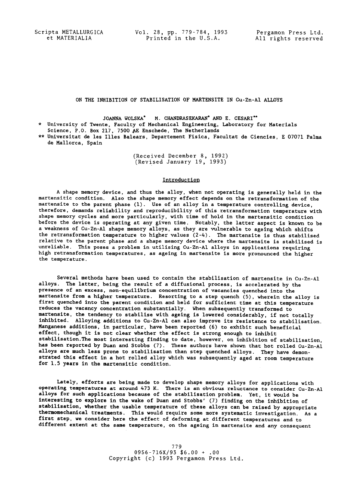Scripta METALLURGICA Vol. 28, pp. 779-784, 1993 Pergamon Press Ltd. et MATERIALIA Printed in the U.S.A. All rights reserved

# ON THE INHIBITION OF STABILISATION OF MARTENSITE IN Cu-Zn-AI ALLOYS

JOANNA WOLSKA\* M. CHANDRASEKARAN\* AND E. CESARI\*"

- \* University of Twente, Faculty of Mechanical Engineering, Laboratory for Materials Science, P.O. Box 217, 7500 AE Enschede, The Netherlands
- \*\* Universitat de les llles Balears, Departement Fisiea, Facultat de Ciencies, E 07071 Palma de Mallorca, Spain

(Received December 8, 1992) (Revised January 19, 1993)

### Introduction

A shape memory device, and thus the alloy, when not operating is generally held in the martensitic condition. Also the shape memory effect depends on the retransformation of the martensite to the parent phase (1). Use of an alloy in a temperature controlling device, therefore, demands reliability and reproducibility of this retransformation temperature with shape memory cycles and more particularly, with time of hold in the martensitic condition before the device is operating at any given time. Notably, the latter aspect is known to be a weakness of Cu-Zn-AI shape memory alloys, as they are vulnerable to ageing which shifts the retransformation temperature to higher values (2-4). The martensite is thus stabilised relative to the parent phase and a shape memory device where the martensite is stabilised is unreliable. This poses a problem in utilising Cu-Zn-AI alloys in applications requiring high retransformation temperatures, as ageing in martensite is more pronounced the higher the temperature.

Several methods have been used to contain the stabilisation of martensite in Cu-Zn-AI alloys. The latter, being the result of a diffusional process, is accelerated by the presence of an excess, non-equilibrium concentration of vacancies quenched into the martensite from a higher temperature. Resorting to a step quench (5), wherein the alloy is first quenched into the parent condition and held for sufficient time at this temperature reduces the vacancy concentration substantially. When subsequently transformed to martensite, the tendency to stabilise with ageing is lowered considerably, if not totally inhibited. Alloying additions to Cu-Zn-AI can also improve its resistance to stabilisation. Manganese additions, in particular, have been reported (6) to exhibit such beneficial effect, though it is not clear whether the effect is strong enough to inhibit stabilisation.The most interesting finding to date, however, on inhibition of stabilisation, has been reported by Duan and Stobbs (7). These authors have shown that hot rolled Cu-Zn-Al alloys are much less prone to stabilisation than step quenched alloys. They have demonstrated this effect in a hot rolled alloy which was subsequently aged at room temperature for 1.5 years in the martensitic condition.

Lately, efforts are being made to develop shape memory alloys for applications with operating temperatures at around 473 K. There is an obvious reluctance to consider Cu-Zn-AI alloys for such applications because of the stabilisatlon problem. Yet, it would be interesting to explore in the wake of Duan and Stobbs' (7) finding on the inhibition of stabilisatlon, whether the usable temperature of these alloys can be raised by appropriate thermomechanlcal treatments. This would require some more systematic investigation. As a first step, we consider here the effect of deforming at different temperatures and to different extent at the same temperature, on the ageing in martensite and any consequent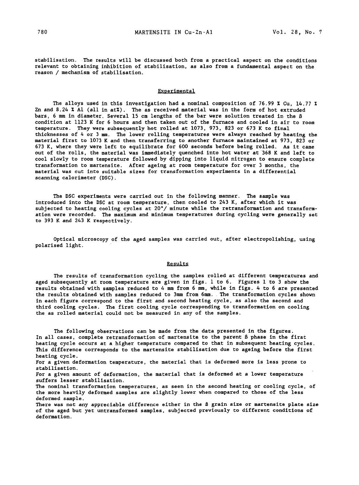stabillsation. The results will be discussed both from a practical aspect on the conditions relevant to obtaining inhibition of stabilisation, as also from a fundamental aspect on the reason / mechanism of stabilisation.

### Experimental

The alloys used in this investigation had a nominal composition of 76.99 % Cu, 14.77 % Zn and 8.24  $X$  Al (all in at $X$ ). The as received material was in the form of hot extruded bars, 6 mm in diameter. Several 15 cm lengths of the bar were solution treated in the  $\beta$ condition at 1123 K for 6 hours and then taken out of the furnace and cooled in air to room temperature. They were subsequently hot rolled at 1073, 973, 823 or 673 K to final thicknesses of 4 or 3 mm. The lower rolling temperatures were always reached by heating the *material* first to 1073 K and then transferring to another furnace maintained at 973, 823 or 673 K, where they were left to equilibrate for 600 seconds before being rolled. As it came out of the rolls, the material was immediately quenched into hot water at 368 K and left to cool slowly to room temperature followed by dipping into liquid nitrogen to ensure complete transformation to martensite. After ageing at room temperature for over 3 months, the material was cut into suitable sizes for transformation experiments in a differential scanning calorimeter (DSC).

The DSC experiments were carried out in the following manner. The sample was introduced into the DSC at room temperature, then cooled to 243 K, after which it was subjected to heating cooling cycles at 20"/ minute while the retransformatlon and transformation were recorded. The maximum and minimum temperatures during cycling were generally set to 393 K and 243 K respectively.

Optical microscopy of the aged samples was carried out, after electropolishing, using polarised light.

# Results

The results of transformation cycling the samples rolled at different temperatures and aged subsequently at room temperature are given in figs. 1 to 6. Figures 1 to 3 show the results obtained with samples reduced to 4 mm from 6 mm, while in figs. 4 to 6 are presented the results obtained with samples reduced to 3mm from 6mm. The transformation cycles shown in each figure correspond to the first and second heating cycle, as also the second and third cooling cycles. The first cooling cycle corresponding to transformation on cooling the as rolled material could not be measured in any of the samples.

The following observations can be made from the data presented in the figures. In all cases, complete retransformation of martensite to the parent  $\beta$  phase in the first heating cycle occurs at a higher temperature compared to *that* in subsequent heating cycles. This difference corresponds to the martensite stabilisation due to ageing before the first heating cycle.

For a given deformation temperature, the material that is deformed more is less prone to stabllisation.

For a given amount of deformation, the material *that* is deformed at a lower temperature suffers lesser stabilisation.

The nominal transformation temperatures, as seen in the second heating or cooling cycle, of the more heavily deformed samples are slightly lower when compared *to* those of the less deformed sample.

There was not any appreciable difference either in *the B* grain size or *martensite* plate size of the aged but yet untransformed samples, subjected previously to different conditions of deformation.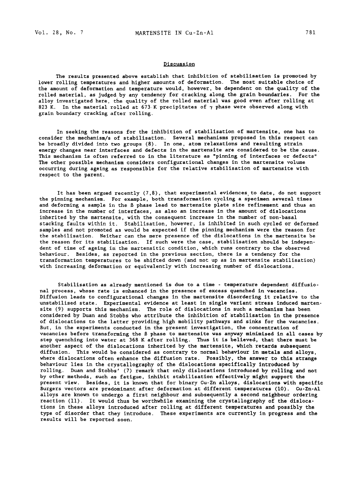### **Discussion**

The results presented above establish that inhibition of stabllisatlon is promoted by lower rolling temperatures and higher amounts of deformation. The most suitable choice of the amount of deformation and temperature would, however, be dependent on the quality of the rolled material, as judged by any tendency for cracking along the grain boundaries. For the alloy investigated here, the quality of the rolled material was good even after rolling at 823 K. In the material rolled at 673 K precipitates of  $\gamma$  phase were observed along with grain boundary cracking after rolling.

In seeking the reasons for the inhibition of stabilisation of martensite, one has to consider the mechanism/s of stabilisation. Several mechanisms proposed in this respect can be broadly divided into two groups (8). In one, atom relaxations and resulting strain energy changes near interfaces and defects in the martensite are considered to be the cause. This mechanism is often referred to in the literature as "pinning of interfaces or defects" The other possible mechanism considers configurational changes in the martensite volume occurring during ageing as responsible for the relative stabilisation of martensite with respect to the parent.

It has been argued recently (7,8), that experimental evidences to date, do not support the pinning mechanism. For example, both transformation cycling a specimen several times and deforming a sample in the ß phase lead to martensite plate size refinement and thus an increase in the number of interfaces, as also an increase in the amount of dislocations inherited by the martensite, with the consequent increase in the number of non-basal stacking faults within it. Stabilisation, however, is inhibited in such cycled or deformed samples and not promoted as would be expected if the pinning mechanism were the reason for the stabilisation. Neither can the mere presence of the dislocations in the martensite be the reason for its stabilisation. If such were the case, stabilisation should be independent of time of ageing in the martensitic condition, which runs contrary to the observed behaviour. Besides, as reported in the previous section, there is a tendency for the transformation temperatures to be shifted down (and not up as in martensite stabilisation) with increasing deformation or equivalently with increasing number of dislocations.

Stabilisation as already mentioned is due to a time - temperature dependent diffusional process, whose rate is enhanced in the presence of excess quenched in vacancies. Diffusion leads to configurational changes in the martensite disordering it relative to the unstabilised state. Experimental evidence at least in single variant stress induced martensite (9) supports this mechanism. The role of dislocations in such a mechanism has been considered by Duan and Stohhs who attribute the inhibition of stabilisatlon in the presence of dislocations to the latter providing high mobility pathways and sinks for the vacancies. But, in the experiments conducted in the present investigation, the concentration of vacancies before transforming the B phase to martensite was anyway minimised in all cases by step quenching into water at 368 K after rolling. Thus it is believed, that there must be another aspect of the dislocations inherited by the martensite, which retards subsequent diffusion. This would be considered as contrary to normal behavlour in metals and alloys, where dislocations often enhance the diffusion rate. Possibly, the answer to this strange behaviour lies in the crystallography of the dislocations specifically introduced by rolling. Duan and Stobhs' (7) remark *that* only dislocations introduced by rolling and not by other methods, such as fatigue, inhibit stabilisation effectively might support the present view. Besides, it is known that for binary Cu-Zn alloys, dislocations with specific Burgers vectors are predominant after deformation at different temperatures (i0). Cu-Zn-Al alloys are known to undergo a first neighbour and subsequently a second neighbour ordering reaction (II). It would thus be worthwhile examining the crystallography of the dislocations in these alloys introduced after rolling at different temperatures and possibly the type of disorder that they introduce. These experiments are currently in progress and the results will be reported soon.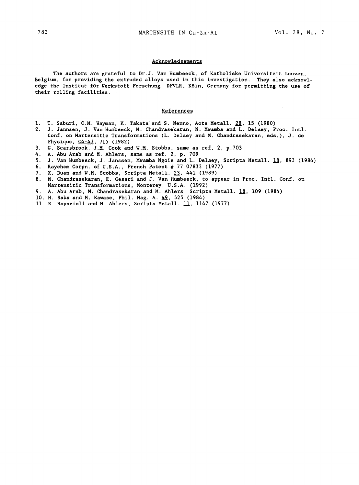#### **Acknowledgements**

The authors are grateful to Dr.J. Van Humbeeck, of Katholieke Universltelt Leuven, Belgium, for providing the extruded alloys used in this investigation. They also acknowledge the Institut für Werkstoff Forschung, DFVLR, Köln, Germany for permitting the use of their rolling facilities.

### References

- I. T. Saburi, C.M. Wayman, K. Takata and S. Nenno, *Acta* Metall. 28, 15 (1980)
- 2. J. Jannsen, J. Van Humbeeck, M. Chandrasekaran, N. Mwamba and L. Delaey, Proc. Intl. Conf. on Martensitic Transformations (L. Delaey and M. Chandrasekaran, eds.), J. de Physique, C4-43, 715 (1982)
- 3. G. Scarsbrook, J.M. Cook and W.M. Stobbs, same as ref. 2, p.703
- 4. A. Abu Arab and M. Ahlers, same as ref. 2, p. 709
- 5. J. Van Humbeeck, J. Janssen, Mwamba Ngoie and L. Delaey, Scripta Metall. 18, 893 (1984)
- 6. Raychem Corpn. of U.S.A., French Patent # 77 07833 (1977)
- 7. X. Duan and W.M. Stobbs, Scripta Metall. 23, 441 (1989)
- 8. M. Chandrasekaran, E. Cesari and J. Van Humbeeck, to appear in Proc. Intl. Conf. on Martensitic Transformations, Monterey, U.S.A. (1992)
- 9. A. Abu Arab, M. Chandrasekaran and M. Ahlers, Scripta Metall.  $18$ , 109 (1984)
- i0. H. Saka and M. Kawase, Phil. Mag. A. 49, 525 (1984)
- 11. R. Rapacioli and M. Ahlers, Scripta Metall. 11, 1147 (1977)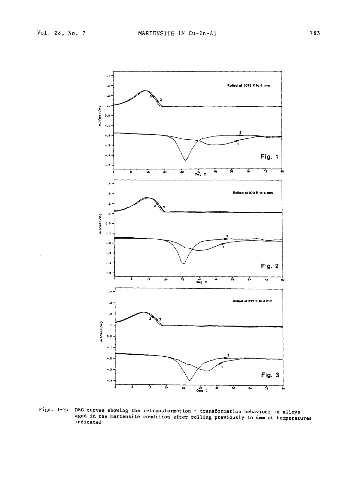

Figs. I-3: DSC curves showing the retransformation - transformation behaviour in alloys aged in the martensite condition after rolling previously to 4mm at temperatures indicated